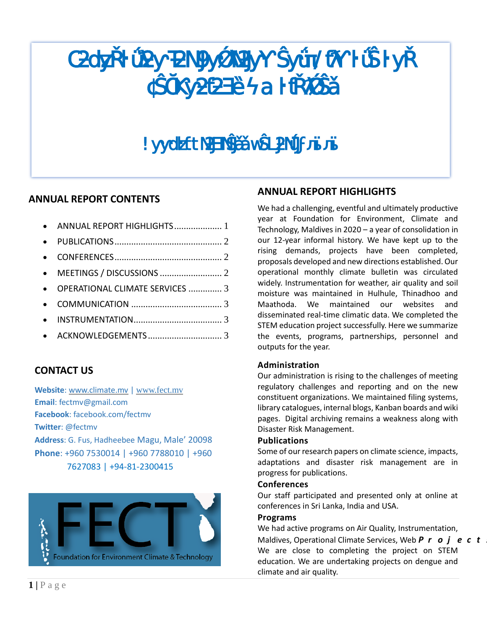

# **ANNUAL REPORT CONTENTS**

|           | • ANNUAL REPORT HIGHLIGHTS 1      |  |
|-----------|-----------------------------------|--|
|           |                                   |  |
| $\bullet$ |                                   |  |
|           |                                   |  |
|           | • OPERATIONAL CLIMATE SERVICES  3 |  |
|           |                                   |  |
|           |                                   |  |
|           |                                   |  |
|           |                                   |  |

# **CONTACT US**

**Website**: [www.climate.mv](http://www.climate.mv/) | [www.fect.mv](http://www.fect.mv/) **Email**: fectmv@gmail.com **Facebook**: facebook.com/fectmv **Twitter**: @fectmv **Address**: G. Fus, Hadheebee Magu, Male' 20098 **Phone**: +960 7530014 | +960 7788010 | +960 7627083 | +94-81-2300415



# <span id="page-0-0"></span>**ANNUAL REPORT HIGHLIGHTS**

We had a challenging, eventful and ultimately productive year at Foundation for Environment, Climate and Technology, Maldives in 2020 – a year of consolidation in our 12-year informal history. We have kept up to the rising demands, projects have been completed, proposals developed and new directions established. Our operational monthly climate bulletin was circulated widely. Instrumentation for weather, air quality and soil moisture was maintained in Hulhule, Thinadhoo and Maathoda. We maintained our websites and disseminated real-time climatic data. We completed the STEM education project successfully. Here we summarize the events, programs, partnerships, personnel and outputs for the year.

### **Administration**

Our administration is rising to the challenges of meeting regulatory challenges and reporting and on the new constituent organizations. We maintained filing systems, library catalogues, internal blogs, Kanban boards and wiki pages. Digital archiving remains a weakness along with Disaster Risk Management.

### **Publications**

Some of our research papers on climate science, impacts, adaptations and disaster risk management are in progress for publications.

#### **Conferences**

Our staff participated and presented only at online at conferences in Sri Lanka, India and USA.

#### **Programs**

We had active programs on Air Quality, Instrumentation, Maldives, Operational Climate Services, Web **P** r **o j e c t** We are close to completing the project on STEM education. We are undertaking projects on dengue and climate and air quality.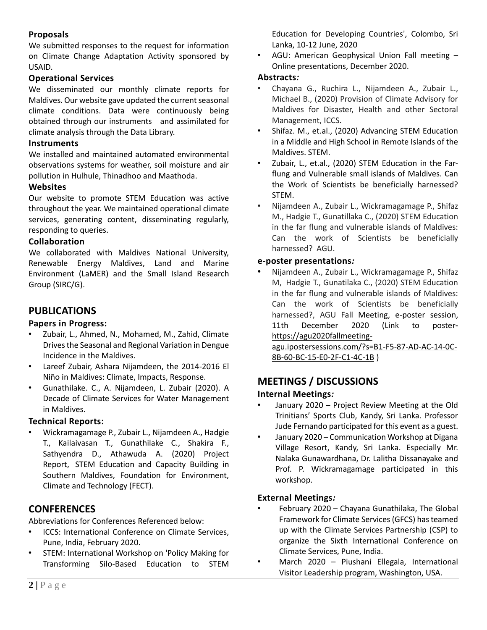## **Proposals**

We submitted responses to the request for information on Climate Change Adaptation Activity sponsored by USAID.

### **Operational Services**

We disseminated our monthly climate reports for Maldives. Our website gave updated the current seasonal climate conditions. Data were continuously being obtained through our instruments and assimilated for climate analysis through the Data Library.

### **Instruments**

We installed and maintained automated environmental observations systems for weather, soil moisture and air pollution in Hulhule, Thinadhoo and Maathoda.

### **Websites**

Our website to promote STEM Education was active throughout the year. We maintained operational climate services, generating content, disseminating regularly, responding to queries.

### **Collaboration**

We collaborated with Maldives National University, Renewable Energy Maldives, Land and Marine Environment (LaMER) and the Small Island Research Group (SIRC/G).

# <span id="page-1-0"></span>**PUBLICATIONS**

### **Papers in Progress:**

- Zubair, L., Ahmed, N., Mohamed, M., Zahid, Climate Drives the Seasonal and Regional Variation in Dengue Incidence in the Maldives.
- Lareef Zubair, Ashara Nijamdeen, the 2014-2016 El Niño in Maldives: Climate, Impacts, Response.
- Gunathilake. C., A. Nijamdeen, L. Zubair (2020). A Decade of Climate Services for Water Management in Maldives.

#### **Technical Reports:**

• Wickramagamage P., Zubair L., Nijamdeen A., Hadgie T., Kailaivasan T., Gunathilake C., Shakira F., Sathyendra D., Athawuda A. (2020) Project Report, STEM Education and Capacity Building in Southern Maldives, Foundation for Environment, Climate and Technology (FECT).

## <span id="page-1-1"></span>**CONFERENCES**

Abbreviations for Conferences Referenced below:

- ICCS: International Conference on Climate Services, Pune, India, February 2020.
- STEM: International Workshop on 'Policy Making for Transforming Silo-Based Education to STEM

Education for Developing Countries', Colombo, Sri Lanka, 10-12 June, 2020

• AGU: American Geophysical Union Fall meeting – Online presentations, December 2020.

### **Abstracts***:*

- Chayana G., Ruchira L., Nijamdeen A., Zubair L., Michael B., (2020) Provision of Climate Advisory for Maldives for Disaster, Health and other Sectoral Management, ICCS.
- Shifaz. M., et.al., (2020) Advancing STEM Education in a Middle and High School in Remote Islands of the Maldives. STEM.
- Zubair, L., et.al., (2020) STEM Education in the Farflung and Vulnerable small islands of Maldives. Can the Work of Scientists be beneficially harnessed? STEM.
- Nijamdeen A., Zubair L., Wickramagamage P., Shifaz M., Hadgie T., Gunatillaka C., (2020) STEM Education in the far flung and vulnerable islands of Maldives: Can the work of Scientists be beneficially harnessed? AGU.

#### **e-poster presentations***:*

• Nijamdeen A., Zubair L., Wickramagamage P., Shifaz M, Hadgie T., Gunatilaka C., (2020) STEM Education in the far flung and vulnerable islands of Maldives: Can the work of Scientists be beneficially harnessed?, AGU Fall Meeting, e-poster session, 11th December 2020 (Link to poster[https://agu2020fallmeeting-](https://agu2020fallmeeting-agu.ipostersessions.com/?s=B1-F5-87-AD-AC-14-0C-8B-60-BC-15-E0-2F-C1-4C-1B)

[agu.ipostersessions.com/?s=B1-F5-87-AD-AC-14-0C-](https://agu2020fallmeeting-agu.ipostersessions.com/?s=B1-F5-87-AD-AC-14-0C-8B-60-BC-15-E0-2F-C1-4C-1B)[8B-60-BC-15-E0-2F-C1-4C-1B](https://agu2020fallmeeting-agu.ipostersessions.com/?s=B1-F5-87-AD-AC-14-0C-8B-60-BC-15-E0-2F-C1-4C-1B) )

## <span id="page-1-2"></span>**MEETINGS / DISCUSSIONS**

### **Internal Meetings***:*

- January 2020 Project Review Meeting at the Old Trinitians' Sports Club, Kandy, Sri Lanka. Professor Jude Fernando participated for this event as a guest.
- January 2020 Communication Workshop at Digana Village Resort, Kandy, Sri Lanka. Especially Mr. Nalaka Gunawardhana, Dr. Lalitha Dissanayake and Prof. P. Wickramagamage participated in this workshop.

### **External Meetings***:*

- February 2020 Chayana Gunathilaka, The Global Framework for Climate Services (GFCS) has teamed up with the Climate Services Partnership (CSP) to organize the Sixth International Conference on Climate Services, Pune, India.
- March 2020 Piushani Ellegala, International Visitor Leadership program, Washington, USA.